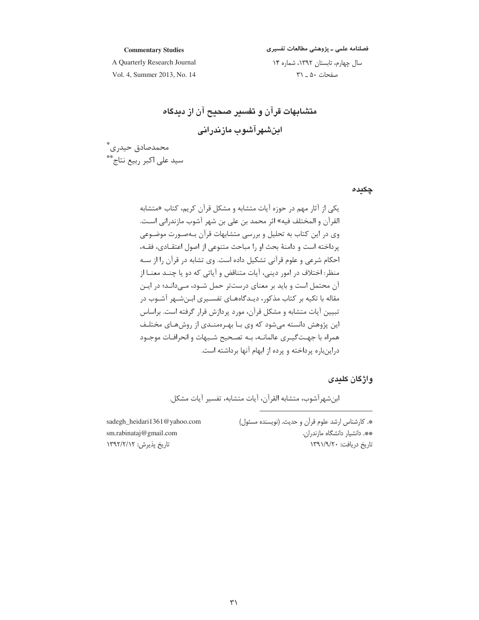## فصلنامه علمي ـ پژوهشي مطالعات تفسيري

#### **Commentary Studies**

A Quarterly Research Journal Vol. 4, Summer 2013, No. 14 سال چهارم، تابستان ١٣٩٢، شماره ١۴ صفحات ۵۰ \_ ٣١

متشابهات قرآن و تفسیر صحیح آن از دیدگاه اینشهرآشوب مازندرانی

محمدصادق حيدري\* سید علے اکبر ربیع نتاج\*\*

چکیدہ

یکی از آثار مهم در جوزه آیات متشابه و مشکل قرآن کریم، کتاب «متشابه القرآن و المختلف فيه» اثر محمد بن علي بن شهر آشوب مازندراني اسـت. وی در این کتاب به تحلیل و بررسی متشابهات قرآن بـهصـورت موضـوعی يرداخته است و دامنهٔ بحث او را مباحث متنوعي از اصول اعتقـادي، فقـه، احکام شرعی و علوم قرآنی تشکیل داده است. وی تشابه در قرآن را از سـه منظر: اختلاف در امور دینی، آیات متناقض و آیاتی که دو یا چنـد معنــا از آن محتمل است و باید بر معنای درستتر حمل شــود، مــی۱دانــد؛ در ایــن مقاله با تکیه بر کتاب مذکور، دیـدگاههـای تفسـیری ابـنشـهر آشـوب در تبیین آیات متشابه و مشکل قرآن، مورد پردازش قرار گرفته است. براساس این پژوهش دانسته میشود که وی بـا بهـرهمنــدی از روشهـای مختلـف همراه با جهت گیـری عالمانــه، بــه تصــحیح شــبهات و انحرافــات موجــود دراینباره پرداخته و پرده از ابهام آنها برداشته است.

واژگان کلیدی

ابن شهر آشوب، متشابه القرآن، آيات متشابه، تفسير آيات مشكل.

\*. كارشناس ارشد علوم قرآن و حديث. (نويسنده مسئول) sadegh\_heidari1361@yahoo.com sm.rabinataj@gmail.com \*\*. دانشیار دانشگاه مازندران. تاریخ دریافت: ۱۳۹۱/۹/۲۰ تاريخ پذيرش: ١٣٩٢/٢/١٢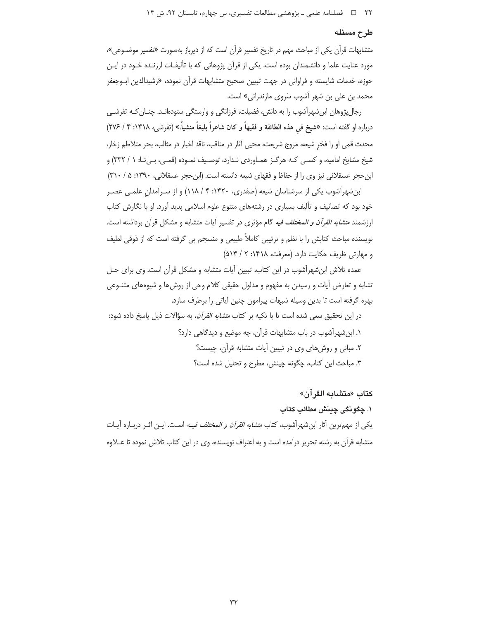#### طرح مسئله

متشابهات قرآن یکی از مباحث مهم در تاریخ تفسیر قرآن است که از دیرباز بهصورت «تفسیر موضـوعی»، مورد عنایت علما و دانشمندان بوده است. یکی از قرآن پژوهانی که با تألیفـات ارزنـده خـود در ایـن حوزه، خدمات شايسته و فراواني در جهت تبيين صحيح متشابهات قرآن نموده، «رشيدالدين ابـوجعفر محمد بن علي بن شهر آشوب سَروي مازندراني» است.

رجالپژوهان ابن شهرآشوب را به دانش، فضیلت، فرزانگی و وارستگی ستودهانـد. چنـان کـه تفرشـی درباره او گفته است: «شیخ فمی هذه الطائفة و فقیهاً و کان شاعراً بلیغاً منشیاً.» (تفرشی، ۱۴۱۸: ۴ / ۲۷۶) محدث قمی او را فخر شیعه، مروج شریعت، محیی آثار در مناقب، ناقد اخبار در مثالب، بحر متلاطم زخار، شیخ مشایخ امامیه، و کسبی کـه هرگـز همـاوردی نـدارد، توصـیف نمـوده (قمـی، بـی تـا: ١ / ٣٣٢) و ابن حجر عسقلانی نیز وی را از حفاظ و فقهای شیعه دانسته است. (ابن حجر عسقلانی، ۱۳۹۰: ۵ / ۳۱۰)

ابن شهرآشوب یکی از سرشناسان شیعه (صفدری، ۱۴۲۰: ۴ / ۱۱۸) و از سـرآمدان علمـی عصـر خود بود که تصانیف و تألیف بسیاری در رشتههای متنوع علوم اسلامی پدید آورد. او با نگارش کتاب ارزشمند *متشابه القرآن و المختلف فيه* گام مؤثري در تفسير أيات متشابه و مشكل قرآن برداشته است. نویسنده مباحث کتابش را با نظم و ترتیبی کاملاً طبیعی و منسجم پی گرفته است که از ذوقی لطیف و مهارتی ظریف حکایت دارد. (معرفت، ۱۴۱۸: ۲ / ۵۱۴)

عمده تلاش ابن شهرآشوب در این کتاب، تبیین آیات متشابه و مشکل قرآن است. وی برای حـل تشابه و تعارض آیات و رسیدن به مفهوم و مدلول حقیقی کلام وحی از روشها و شیوههای متنـوعی بهره گرفته است تا بدین وسیله شبهات پیرامون چنین آیاتی را برطرف سازد.

در این تحقیق سعی شده است تا با تکیه بر کتاب *متشابه القرآن*، به سؤالات ذیل پاسخ داده شود: ١. ابن شهرآشوب در باب متشابهات قرآن، چه موضع و دیدگاهی دارد؟ ۲. مبانی و روشهای وی در تبیین آیات متشابه قرآن، چیست؟ ٣. مباحث اين كتاب، چگونه چينش، مطرح و تحليل شده است؟

## كتاب «متشابه القرآن»

# ١. چگونگي چينش مطالب كتاب

يكي از مهمترين آثار ابن شهرآشوب، كتاب *متشابه القرآن و المختلف فيــه* اسـت. ايــن اثــر دربــاره آيــات متشابه قرآن به رشته تحریر درآمده است و به اعتراف نویسنده، وی در این کتاب تلاش نموده تا عـلاوه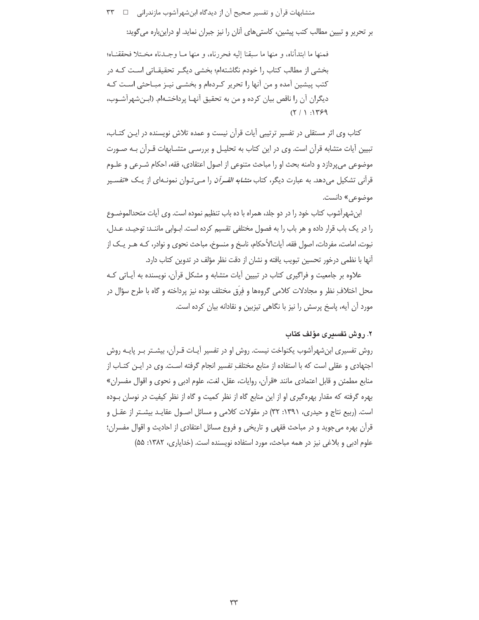بر تحریر و تبیین مطالب کتب پیشین، کاستی های آنان را نیز جبران نماید. او دراینباره می گوید:

فمنها ما ابتدأناه، و منها ما سبقنا إليه فحررناه، و منها مـا وجـدناه مخـتلا فحققنـاه؛ بخشی از مطالب کتاب را خودم نگاشتهام؛ بخشی دیگر تحقیقـاتی اسـت کـه در کتب پیشین آمده و من آنها را تحریر کـردهام و بخشــی نیــز مبــاحثی اسـت کــه ديگران آن را ناقص بيان كرده و من به تحقيق آنهـا پرداختـهام. (ابـنشهرآشـوب،  $(7/1)!T99$ 

کتاب وی اثر مستقلی در تفسیر ترتیبی آیات قرآن نیست و عمده تلاش نویسنده در ایـن کتـاب، تبیین أیات متشابه قرأن است. وی در این کتاب به تحلیـل و بررسـی متشــابهات قــرأن بــه صــورت موضوعي مي يردازد و دامنه بحث او را مباحث متنوعي از اصول اعتقادي، فقه، احكام شـرعي و علـوم قرآنی تشکیل میدهد. به عبارت دیگر، کتاب *متشابه القـرآن* را مـیتـوان نمونـهای از یـک «تفسـیر موضوعي» دانست.

ابن شهرآشوب کتاب خود را در دو جلد، همراه با ده باب تنظیم نموده است. وی آیات متحدالموضـوع را در یک باب قرار داده و هر باب را به فصول مختلفی تقسیم کرده است. ابـوابی ماننـد: توحیـد، عـدل، نبوت، امامت، مفردات، اصول فقه، آیاتالأحکام، ناسخ و منسوخ، مباحث نحوی و نوادر، کـه هـر یـک از آنها با نظمی درخور تحسین تبویب یافته و نشان از دقت نظر مؤلف در تدوین کتاب دارد.

علاوه بر جامعیت و فراگیری کتاب در تبیین آیات متشابه و مشکل قرآن، نویسنده به آیـاتی کـه محل اختلاف نظر و مجادلات کلامی گروهها و فرّق مختلف بوده نیز پرداخته و گاه با طرح سؤال در مورد آن آیه، پاسخ پرسش را نیز با نگاهی تیزبین و نقادانه بیان کرده است.

## ۲. روش تفسیری مؤلف کتاب

روش تفسیری ابن شهرآشوب یکنواخت نیست. روش او در تفسیر آیـات قـرآن، بیشـتر بـر پایـه روش اجتهادی و عقلی است که با استفاده از منابع مختلف تفسیر انجام گرفته اسـت. وی در ایـن کتـاب از منابع مطمئن و قابل اعتمادي مانند «قرآن، روايات، عقل، لغت، علوم ادبي و نحوى و اقوال مفسران» بهره گرفته که مقدار بهرهگیری او از این منابع گاه از نظر کمیت و گاه از نظر کیفیت در نوسان بـوده است. (ربیع نتاج و حیدری، ۱۳۹۱: ۳۲) در مقولات کلامی و مسائل اصـول عقایـد بیشـتر از عقـل و قرآن بهره می جوید و در مباحث فقهی و تاریخی و فروع مسائل اعتقادی از احادیث و اقوال مفسران؛ علوم ادبی و بلاغی نیز در همه مباحث، مورد استفاده نویسنده است. (خدایاری، ۱۳۸۲: ۵۵)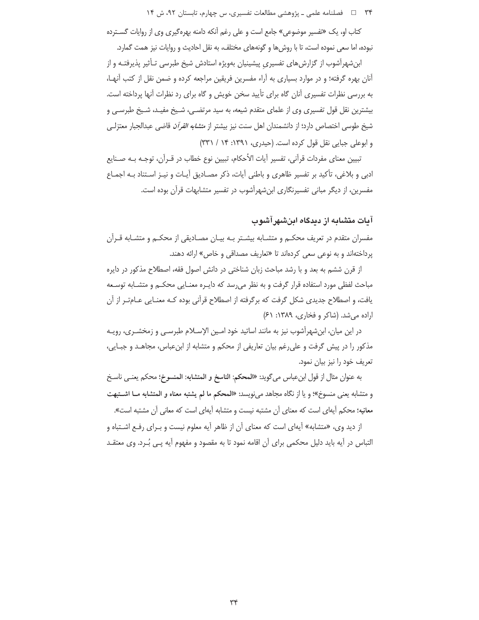کتاب او، یک «تفسیر موضوعی» جامع است و علی رغم آنکه دامنه بهرهگیری وی از روایات گسـترده نبوده، اما سعی نموده است، تا با روش ها و گونههای مختلف، به نقل احادیث و روایات نیز همت گمارد.

ابن شهرآشوب از گزارش های تفسیری پیشینیان بهویژه استادش شیخ طبرسی تـأثیر پذیرفتـه و از آنان بهره گرفته؛ و در موارد بسیاری به آراء مفسرین فریقین مراجعه کرده و ضمن نقل از کتب آنهـا، به بررسی نظرات تفسیری آنان گاه برای تأیید سخن خویش و گاه برای رد نظرات آنها پرداخته است. بیشترین نقل قول تفسیری وی از علمای متقدم شیعه، به سید مرتضـی، شـیخ مفیـد، شـیخ طبرسـی و شيخ طوسي اختصاص دارد؛ از دانشمندان اهل سنت نيز بيشتر از *متشابه القرآن* قاضي عبدالجبار معتزلـي و ابوعلي جبايي نقل قول كرده است. (حيدري، ١٣٩١: ٢٣١ / ٣٣١)

تبیین معنای مفردات قرآنی، تفسیر آیات الأحکام، تبیین نوع خطاب در قــرآن، توجـه بــه صــنایع ادبی و بلاغی، تأکید بر تفسیر ظاهری و باطنی آیات، ذکر مصـادیق آیـات و نیـز اسـتناد بـه اجمـاع مفسرین، از دیگر مبانی تفسیرنگاری ابن شهرآشوب در تفسیر متشابهات قرآن بوده است.

# آیات متشایه از دیدگاه اینشهر آشو ب

مفسران متقدم در تعریف محکـم و متشـابه بیشـتر بـه بیـان مصـادیقی از محکـم و متشـابه قـرآن پرداختهاند و به نوعی سعی کردهاند تا «تعاریف مصداقی و خاص» ارائه دهند.

از قرن ششم به بعد و با رشد مباحث زبان شناختی در دانش اصول فقه، اصطلاح مذکور در دایره مباحث لفظی مورد استفاده قرار گرفت و به نظر می رسد که دایـره معنـایی محکـم و متشـابه توسـعه یافت، و اصطلاح جدیدی شکل گرفت که برگرفته از اصطلاح قرآنی بوده کـه معنـایی عـامتـر از آن اراده می شد. (شاکر و فخاری، ۱۳۸۹: ۶۱)

در این میان، ابنشهراًشوب نیز به مانند اساتید خود امـین الإسـلام طبرسـی و زمخشـری، رویـه مذکور را در پیش گرفت و علی رغم بیان تعاریفی از محکم و متشابه از ابنءباس، مجاهـد و جبـایی، تعریف خود را نیز بیان نمود.

به عنوان مثال از قول ابنءباس مي¢ويد: «المحكم: الناسخ و المتشابه: المنسوخ؛ محكم يعنـي ناسـخ و متشابه يعني منسوخ»؛ و يا از نگاه مجاهد مي نويسد: «المحكم ما لم يشتبه معناه و المتشابه مــا اشــتبهت معانیه؛ محکم آیهای است که معنای آن مشتبه نیست و متشابه آیهای است که معانی آن مشتبه است».

از دید وی، «متشابه» آبهای است که معنای آن از ظاهر آیه معلوم نیست و بـرای رفـع اشـتباه و التباس در آيه بايد دليل محكمي براي آن اقامه نمود تا به مقصود و مفهوم آيه پـي بُـرد. وي معتقــد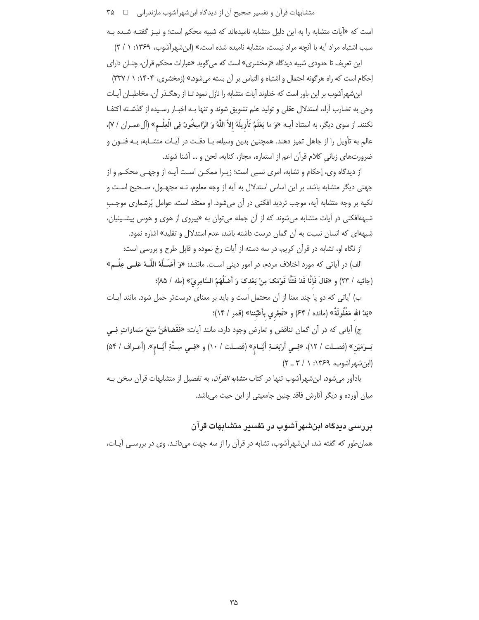است که «آیات متشابه را به این دلیل متشابه نامیدهاند که شبیه محکم است؛ و نیـز گفتـه شـده بـه سبب اشتباه مراد آيه با آنچه مراد نيست، متشابه ناميده شده است.» (ابن شهرآشوب، ١٣۶٩: ١ / ٢)

این تعریف تا حدودی شبیه دیدگاه «زمخشری» است که می¢وید «عبارات محکم قرآن، چنـان دارای إحكام است كه راه هرگونه احتمال و اشتباه و التباس بر آن بسته می شود.» (زمخشری، ۱۴۰۴: ۱ / ۳۳۷)

ابنشهرآشوب بر این باور است که خداوند آیات متشابه را نازل نمود تـا از رهگـذر آن، مخاطبـان آيـات وحی به تضارب آراء، استدلال عقلی و تولید علم تشویق شوند و تنها بـه اخبـار رسـیده از گذشـته اکتفـا نكنند. از سوى ديگر، به استناد آيــه «وَ ما يَعْلَمُ تَأْويلَهُ إلاَّ اللَّهُ وَ الرَّاسِخُونَ فِي الْعِلْــم» (آلءمــران / ٧)، عالم به تأويل را از جاهل تميز دهند. همچنين بدين وسيله، بـا دقـت در آيـات متشـابه، بـه فنـون و ضرورتهای زبانی کلام قرآن اعم از استعاره، مجاز، کنایه، لحن و … آشنا شوند.

از دیدگاه وی، إحکام و تشابه، امری نسبی است؛ زیـرا ممکـن اسـت آیـه از وجهـی محکـم و از جهتی دیگر متشابه باشد. بر این اساس استدلال به آیه از وجه معلوم، نـه مجهـول، صـحیح اسـت و تکیه بر وجه متشابه آیه، موجب تردید افکنی در آن می شود. او معتقد است، عوامل پُرشماری موجب شبههافکنی در آیات متشابه میشوند که از آن جمله میتوان به «پیروی از هوی و هوس پیشـینیان، شبههای که انسان نسبت به آن گمان درست داشته باشد، عدم استدلال و تقلید» اشاره نمود.

از نگاه او، تشابه در قرآن کریم، در سه دسته از آیات رخ نموده و قابل طرح و بررسی است:

الف) در آیاتی که مورد اختلاف مردم، در امور دینی است. ماننـد: «وَ أَضـَـلَّهُ اللَّــهُ عَلــى عِلْــم» (جاثيه / ٢٣) و «قالَ فَإِنَّا قَدْ فَتَنَّا قَوْمَكَ مِنْ بَعْدِكَ وَ أَضَلَّهُمُ السَّامِريّ» (طه / ٨٥)؛

ب) آیاتی که دو یا چند معنا از آن محتمل است و باید بر معنای درستتر حمل شود. مانند آیـات «يَدُ الله مَغْلُولَةٌ» (مائده / ۶۴) و «تَجْرى بأَعْيُننا» (قمر / ۱۴)؛

ج) أياتي كه در أن گمان تناقض و تعارض وجود دارد، مانند أيات: «فَقَضاهُنَّ سَبْعَ سَماواتٍ فِــي يَــوْمَيْنِ» (فصـلت / ١٢)، «فِــي أَرْبَعَــةِ أَيَّــام» (فصـلت / ١٠) و «فِــي سِــتَّةِ أَيَّــام». (أعـراف / ٥۴)  $(Y - Y / \lambda :Y^{\varphi}P)$  (ابن شبهر آشوب، ۱۳۶۹: ۱

یادآور می شود، ابن شهرآشوب تنها در کتاب *متشابه القرآن*، به تفصیل از متشابهات قرآن سخن بـه میان آورده و دیگر آثارش فاقد چنین جامعیتی از این حیث میباشد.

بررسی دیدگاه ابنشهرآشوب در تفسیر متشابهات قرآن

همان طور که گفته شد، ابن شهرآشوب، تشابه در قرآن را از سه جهت می دانـد. وی در بررسـی آیـات،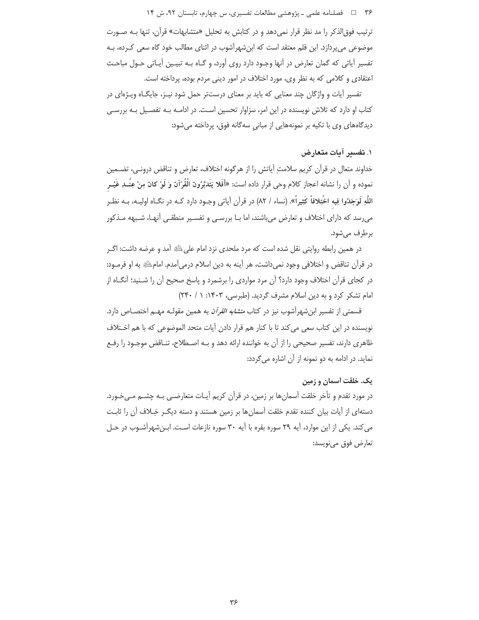ترتیب فوق|لذکر را مد نظر قرار نمی دهد و در کتابش به تحلیل «متشابهات» قرآن، تنها بـه صـورت موضوعی میپردازد. این قلم معتقد است که ابنشهرآشوب در اثنای مطالب خود گاه سعی کـرده، بـه تفسیر آیاتی که گمان تعارض در آنها وجـود دارد روی آورد، و گـاه بـه تبیـین آیـاتی حـول مباحـث اعتقادي و كلامي كه به نظر وي، مورد اختلاف در امور ديني مردم بوده، پرداخته است.

تفسیر آیات و واژگان چند معنایی که باید بر معنای درستتر حمل شود نیـز، جایگـاه ویـژهای در کتاب او دارد که تلاش نویسنده در این امر، سزاوار تحسین است. در ادامـه بـه تفصـیل بـه بررسـی دیدگاههای وی با تکیه بر نمونههایی از مبانی سهگانه فوق، پرداخته میشود:

# ١. تفسير آيات متعارض

خداوند متعال در قرآن کریم سلامتِ آیاتش را از هرگونه اختلاف، تعارض و تناقض درونـی، تضــمین نموده و أن را نشانه اعجاز كلام وحي قرار داده است: «أَفَلا يَتَدَبَّرُونَ الْقُرْآنَ وَ لَوْ كانَ مِنْ عِنْــدِ غَيْــر اللَّهِ لَوَجَدُوا فِيه اخْتِلافاً كَثِيراً». (نساء / ٨٢) در قرآن آياتي وجـود دارد كـه در نگــاه اوليــه، بــه نظـر می رسد که دارای اختلاف و تعارض می باشند، اما بـا بررسـی و تفسـیر منطقـی آنهـا، شـبهه مـذکور برطرف مے شود.

در همین رابطه روایتی نقل شده است که مرد ملحدی نزد امام علیﷺ آمد و عرضه داشت: اگـر در قرآن تناقض و اختلافی وجود نمی داشت، هر آینه به دین اسلام درمی آمدم. امامﷺ به او فرمـود: در کجای قرآن اختلاف وجود دارد؟ آن مرد مواردی را برشمرد و پاسخ صحیح آن را شـنید؛ آنگــاه از امام تشکر کرد و به دین اسلام مشرف گردید. (طبرسی، ۱۴۰۳: ۱/ ۲۴۰)

قسمتی از تفسیر ابنشهرآشوب نیز در کتاب *متشابه القرآن* به همین مقولـه مهـم اختصـاص دارد. نویسنده در این کتاب سعی می کند تا با کنار هم قرار دادن آیات متحد الموضوعی که با هم اخـتلاف ظاهری دارند، تفسیر صحیحی را از آن به خواننده ارائه دهد و بـه اصـطلاح، تنــاقض موجـود را رفـع نماید. در ادامه به دو نمونه از آن اشاره می گردد:

# یک. خلقت آسمان و زمین

در مورد تقدم و تأخر خلقت آسمانِها بر زمین، در قرآن کریم آیـات متعارضـی بـه چشــم مــیخـورد. دستهای از آیات بیان کننده تقدم خلقت آسمان ها بر زمین هستند و دسته دیگـر خِـلاف آن را ثابـت می کند. یکی از این موارد، آیه ۲۹ سوره بقره با آیه ۳۰ سوره نازعات است. این شهرآشـوب در حـل تعارض فوق مىنويسد: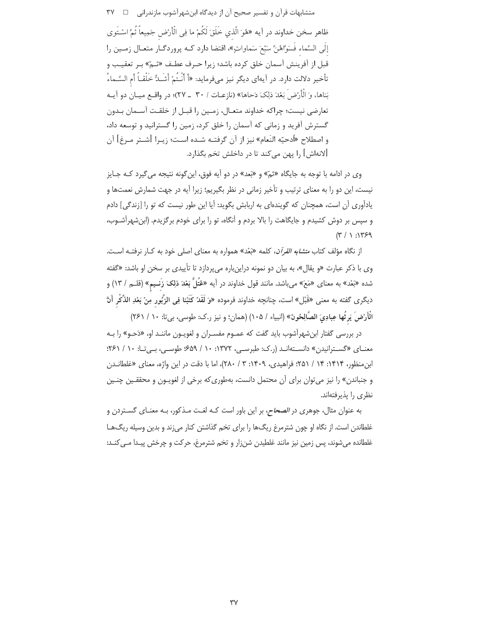متشابهات قرآن و تفسیر صحیح آن از دیدگاه ابنشهرآشوب مازندرانی □ ۳۷ ظاهر سخن خداوند در آيه «هُوَ الَّذي خَلَقَ لَكُمْ ما فِي الْأَرْضِ جَمِيعاً ثُمَّ اسْتَوى إِلَى السَّماء فَسَوَّاهُنَّ سَبْعَ سَماواتٍ»، اقتضا دارد كـه پروردگـار متعـال زمـين را قبل از آفرینش آسمان خلق کرده باشد؛ زیرا حـرف عطـف «ثـمّ» بـر تعقیـب و تأخير دلالت دارد. در آيهاي ديگر نيز ميفرمايد: «أَ أَنْتُمْ أَشَــُدٌ خَلْقــاً أم السَّـماءُ بَناها، وَ الْأَرْضِ بَعْدَ ذِلِكَ دَحاها» (نازعـات / ٣٠ \_ ٢٧)؛ در واقـع ميـان دو آيـه تعارضي نيست؛ چراكه خداوند متعـال، زمـين را قبـل از خلقـت آسـمان بـدون گسترش آفرید و زمانی که آسمان را خلق کرد، زمین را گسترانید و توسعه داد، و اصطلاح «أدحيّه النَعام» نيز از آن گرفتـه شـده اسـت؛ زيـرا [شـتر مـرغ] آن [لانهاش] را پهن مي كند تا در داخلش تخم بگذارد.

وي در ادامه با توجه به جايگاه «ثمّ» و «بَعد» در دو آيه فوق، اين گونه نتيجه مي گيرد كـه جـايز نیست، این دو را به معنای ترتیب و تأخیر زمانی در نظر بگیریم؛ زیرا آیه در جهت شمارش نعمتها و یادآوری آن است، همچنان که گویندهای به اربابش بگوید: آیا این طور نیست که تو را [زندگی] دادم و سپس بر دوش کشیدم و جایگاهت را بالا بردم و آنگاه، تو را برای خودم برگزیدم. (ابن شهرآشـوب،  $(Y / 1 : Y \times 9)$ 

از نگاه مؤلف کتاب *متشابه القرآن*، کلمه «بَعْد» همواره به معنای اصلی خود به کـار نرفتـه اسـت. وي با ذكر عبارت «و يقال»، به بيان دو نمونه دراينباره مي پردازد تا تأييدي بر سخن او باشد: «گفته شده «بَعْد» به معناي «مَعَ» ميباشد. مانند قول خداوند در أيه «عُتَلٍّ بَعْدَ ذِلِكَ زَنـيم» (قلـم / ١٣) و ديگرى گفته به معنى «قَبْل» است، چنانچه خداوند فرموده «وَ لَقَدْ كَتَبْنا فِي الزَّبُور مِنْ بَعْدِ الذِّكْرِ أَنّ الْأَرْضَ يَرِثُها عِبادِيَ الصَّالِحُونَ» (انبياء / ١٠٥) (همان؛ و نيز ر.ك: طوسى، بيتا: ١٠ / ٢۶١)

در بررسی گفتار ابنشهرآشوب باید گفت که عمـوم مفسـران و لغویـون ماننـد او، «دَحـو» را بـه معنای «گسترانیدن» دانستهاند (ر.ک: طبرسی، ۱۳۷۲: ۱۰/ ۶۵۹؛ طوسی، بیتا: ۱۰/ ۶۶۱؛ ابن منظور، ۱۴۱۴: ۱۴ / ۲۵۱؛ فراهیدی، ۱۴۰۹: ۳ / ۲۸۰)، اما با دقت در این واژه، معنای «غلطانـدن و جنباندن» را نیز می توان برای آن محتمل دانست، بهطوری که برخی از لغویـون و محققـین چنـین نظری را پذیرفتهاند.

به عنوان مثال، جوهري در *الصحاح*، بر اين باور است كـه لغـت مـذكور، بـه معنـاي گســتردن و غلطاندن است. از نگاه او چون شترمرغ ریگ@ را برای تخم گذاشتن کنار می;ند و بدین وسیله ریگ@L غلطانده میشوند، پس زمین نیز مانند غلطیدن شنزار و تخم شترمرغ، حرکت و چرخش پیـدا مـی کنـد: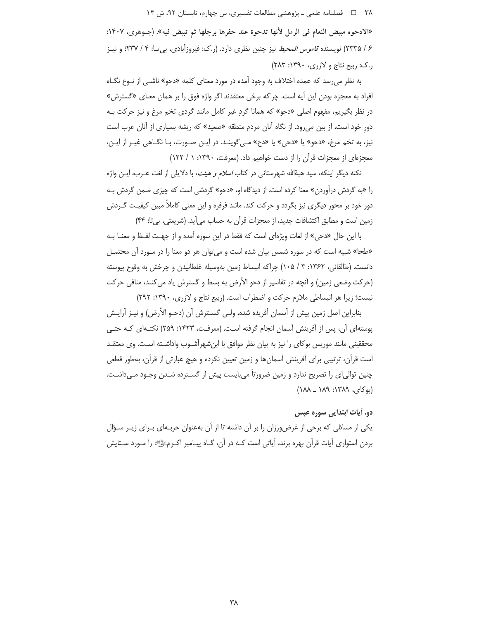«الادحوه مبيض النعام في الرمل لأنها تدحوة عند حفرها برجلها ثم تبيض فيه». (جـوهري، ١۴٠٧: ۶ / ۲۳۳۵) نویسنده *قاموس المحیط* نیز چنین نظری دارد. (ر.ک: فیروزآبادی، بیتا: ۴ / ۲۳۷؛ و نیــز  $(7\lambda \mathsf{y} : \mathsf{Y} \mathsf{P} \cdot \mathsf{y} : \mathsf{y} \cdot \mathsf{y})$  (...)

به نظر می رسد که عمده اختلاف به وجود آمده در مورد معنای کلمه «دحو» ناشـی از نـوع نگـاه افراد به معجزه بودن این آیه است. چراکه برخی معتقدند اگر واژه فوق را بر همان معنای «گسترش» در نظر بگیریم، مفهوم اصلی «دحو» که همانا گردِ غیر کامل مانند گردی تخم مرغ و نیز حرکت بـه دور خود است، از بین می رود. از نگاه آنان مردم منطقه «صعید» که ریشه بسیاری از آنان عرب است نيز، به تخم مرغ، «دحو» يا «دحي» يا «دح» مـي¢وينـد. در ايـن صـورت، بـا نگــاهي غيـر از ايـن، معجزهای از معجزات قرآن را از دست خواهیم داد. (معرفت، ۱۳۹۰: ۱ / ۱۲۲)

نكته ديگر اينكه، سيد هبةالله شهرستاني در كتاب *اسلام و هيئت*، با دلايلي از لغت عـرب، ايـن واژه را «به گردش درآوردن» معنا کرده است. از دیدگاه او، «دحو» گردشی است که چیزی ضمن گردش بـه دور خود بر محور دیگری نیز بگردد و حرکت کند. مانند فرفره و این معنی کاملاً مبین کیفیت گـردش زمین است و مطابق اکتشافات جدید، از معجزات قرآن به حساب می آید. (شریعتی، بی تا: ۴۴)

با این حال «دحی» از لغات ویژهای است که فقط در این سوره آمده و از جهت لفـظ و معنــا بــه «طحا» شبیه است که در سوره شمس بیان شده است و می توان هر دو معنا را در مـورد آن محتمـل دانست. (طالقانی، ۱۳۶۲: ۳ / ۱۰۵) چراکه انبساط زمین بهوسیله غلطانیدن و چرخش به وقوع پیوسته (حرکت وضعی زمین) و آنچه در تفاسیر از دحو الأرض به بسط و گسترش یاد می کنند، منافی حرکت نيست؛ زيرا هر انبساطي ملازم حركت و اضطراب است. (ربيع نتاج و لازرى، ١٣٩٠: ٢٩٢)

بنابراین اصل زمین پیش از آسمان آفریده شده، ولـی گسـترش آن (دحـو الأرض) و نیـز آرایـش یوستهای آن، پس از آفرینش آسمان انجام گرفته است. (معرفت، ۱۴۲۳: ۲۵۹) نکتـهای کـه حتـی محققینی مانند موریس بوکای را نیز به بیان نظر موافق با ابنشهرآشـوب واداشـته اسـت. وی معتقـد است قرآن، ترتیبی برای آفرینش آسمانها و زمین تعیین نکرده و هیچ عبارتی از قرآن، بهطور قطعی چنین توالی|ی را تصریح ندارد و زمین ضرورتاً می بایست پیش از گسـترده شـدن وجـود مـی‹اشـت.  $(1\lambda\lambda - 1\lambda9.17\lambda9.$  (42)

## دو. أيات ابتدايي سوره عبس

یکی از مسائلی که برخی از غرضورزان را بر آن داشته تا از آن بهعنوان حربـهای بـرای زیـر سـؤال بردن استواری آیات قرآن بهره برند، آیاتی است کـه در آن، گـاه پیـامبر اکـرمﷺ را مـورد سـتایش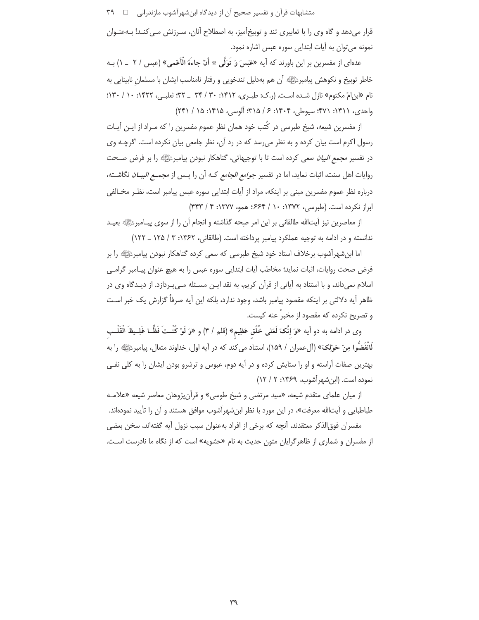قرار میدهد و گاه وی را با تعابیری تند و توبیخآمیز، به اصطلاح آنان، سـرزنش مـی کنـد! بـهعنـوان نمونه مي توان به آيات ابتدايي سوره عبس اشاره نمود.

عدهای از مفسرین بر این باورند که آیه «عَبَسَ وَ تَوَلَّى \* أَنْ جاءَهُ الْأَعْمى» (عبس / ٢ \_ ١) بــه خاطر توبیخ و نکوهش پیامبرﷺ اَن هم بهدلیل تندخویی و رفتار نامناسب ایشان با مسلمان نابینایی به نام «این امّ مکتوم» نازل شده است. (ر.ک: طب ی، ۱۴۱۲: ۳۰ / ۳۴ \_ ۳۲: ثعلبی، ۱۴۲۲: ۱۰ / ۱۳۰: واحدى، ١٣١١: ٢٧١: سيوطي، ١۴٠۴: ۶ / ٣١۵: آلوسي، ١٣١۵: ١٥ / ٢٢١)

از مفسرین شیعه، شیخ طبرسی در کُتب خود همان نظر عموم مفسرین را که مـراد از ایــن آیــات رسول اکرم است بیان کرده و به نظر می رسد که در رد آن، نظر جامعی بیان نکرده است. اگرچـه وی در تفسیر *مجمع البیان* سعی کرده است تا با توجیهاتی، گناهکار نبودن پیامبرﷺ را بر فرض صـحت روایات اهل سنت، اثبات نماید، اما در تفسیر *جوامع الجامع* کـه آن را پـس از *مجمـع البیـان* نگاشـته، درباره نظر عموم مفسرین مبنی بر اینکه، مراد از آیات ابتدایی سوره عبس پیامبر است، نظـر مخـالفی ابراز نكرده است. (طبرسی، ١٣٧٢: ١٠ / ٤۶۴؛ همو، ١٣٧٧: ۴ / ۴۴٣)

از معاصرين نيز أيتالله طالقاني بر اين امر صحه گذاشته و انجام آن را از سوى پيـامبرﷺ بعيـد ندانسته و در ادامه به توجیه عملکرد پیامبر پرداخته است. (طالقانی، ۱۳۶۲: ۳ / ۱۲۵ \_ ۱۲۲)

اما ابنشهرآشوب برخلاف استاد خود شیخ طبرسی که سعی کرده گناهکار نبودن پیامبرﷺ را بر فرض صحت روايات، اثبات نمايد؛ مخاطب آيات ابتدايي سوره عبس را به هيچ عنوان پيـامبر گرامـي اسلام نمیداند، و با استناد به آیاتی از قرآن کریم، به نقد ایـن مسـئله مـیپـردازد. از دیـدگاه وی در ظاهر آيه دلالتي بر اينكه مقصود پيامبر باشد، وجود ندارد، بلكه اين آيه صرفاً گزارش يک خبر است و تصریح نکرده که مقصود از مخبر ْ عنه کیست.

وى در ادامه به دو أيه «وَ إنَّكَ لَعَلى خُلُق عَظِيم» (قلم / ۴) و «وَ لَوْ كُنْـتَ فَظًّـا غَلِــيظَ الْقَلْـب لَانْفَضُوا مِنْ حَوْلِكَ» (آلءمران / ١۵٩)، استناد مي كند كه در آيه اول، خداوند متعال، پيامبرﷺ را به بهترین صفات آراسته و او را ستایش کرده و در آیه دوم، عبوس و ترشرو بودن ایشان را به کلی نفـی نموده است. (ابن شهر آشوب، ١٣۶٩: ٢ / ١٢)

از میان علمای متقدم شیعه، «سید مرتضی و شیخ طوسی» و قرآن پژوهان معاصر شیعه «علامـه طباطبایی و آیتالله معرفت»، در این مورد با نظر این شهرآشوب موافق هستند و آن را تأیید نمودهاند.

مفسران فوق|لذكر معتقدند، آنچه كه برخي از افراد بهعنوان سبب نزول آيه گفتهاند، سخن بعضي از مفسران و شماری از ظاهرگرایان متون حدیث به نام «حشویه» است که از نگاه ما نادرست است.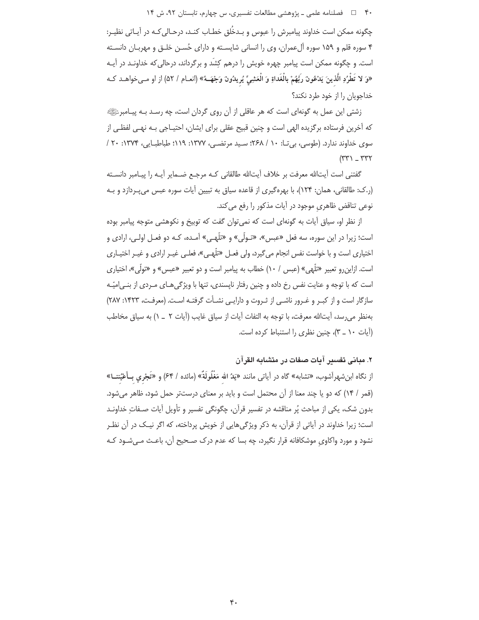۴۰ = □ فصلنامه علمی ـ یژوهشی مطالعات تفسیری، س چهارم، تابستان ۹۲، ش ۱۴

چگونه ممکن است خداوند پیامبرش را عبوس و بـدخُلق خطـاب کنـد، درحـالی کـه در آیـاتی نظیـر: ۴ سوره قلم و ۱۵۹ سوره آلءمران، وي را انساني شايسـته و داراي حُسـن خلـق و مهربـان دانسـته است. و چگونه ممکن است پیامبر چهره خویش را درهم کِشَد و برگرداند، درحالی که خداونـد در آیـه «وَ لا تَطْرُدِ الَّذينَ يَدْعُونَ رَبَّهُمْ بِالْغَداةِ وَ الْعَشِيِّ يُرِيدُونَ وَجْهَــهُ» (انعـام / ۵۲) از او مـىخواهـد كـه خداجویان را از خود طرد نکند؟

زشتی این عمل به گونهای است که هر عاقلی از آن روی گردان است، چه رسـد بـه پیـامبرﷺ که آخرین فرستاده برگزیده الهی است و چنین قبیح عقلی برای ایشان، احتیـاجی بـه نهـی لفظـی از سوی خداوند ندارد. (طوسی، بی تـا: ۱۰ / ۲۶۸؛ سـید مرتضـی، ۱۳۷۷: ۱۱۹؛ طباطبـایی، ۱۳۷۴: ۲۰ /  $(rr)$   $rrrr$ 

گفتنی است أیت|لله معرفت بر خلاف آیت|لله طالقانی کـه مرجـع ضـمایر آیـه را پیـامبر دانسـته (ر.ک: طالقانی، همان: ۱۲۴)، با بهرهگیری از قاعده سیاق به تبیین آیات سوره عبس می پـردازد و بـه نوعی تناقض ظاهری موجود در آیات مذکور را رفع می کند.

از نظر او، سیاق آیات به گونهای است که نمی توان گفت که توبیخ و نکوهشی متوجه پیامبر بوده است؛ زیرا در این سوره، سه فعل «عیس»، «تـولّی» و «تلّهـی» آمـده، کـه دو فعـل اولـی، ارادی و اختیاری است و با خواست نفس انجام میگیرد، ولی فعـل «تلّهـی»، فعلـی غیـر ارادی و غیـر اختیـاری است. ازاین رو تعبیر «تلّهی» (عبس / ١٠) خطاب به پیامبر است و دو تعبیر «عبس» و «تولّی»، اختیاری است که با توجه و عنایت نفس رخ داده و چنین رفتار ناپسندی، تنها با ویژگی هـای مـردی از بنـی|میّـه سازگار است و از کبـر و غـرور ناشـی از ثـروت و دارایـی نشـأت گرفتـه اسـت. (معرفـت، ۱۴۲۳: ۲۸۷) بهنظر می رسد، آیتالله معرفت، با توجه به التفات آیات از سیاق غایب (آیات ٢ \_ ١) به سیاق مخاطب (آیات ١٠ \_ ٣)، چنین نظری را استنباط کرده است.

## ٢. مباني تفسير آيات صفات در متشابه القرآن

از نگاه ابنشهراَشوب، «تشابه» گاه در اَیاتی مانند «یَدُ الله مَغْلُولَةٌ» (مائده / ۶۴) و «تَجْری بِـأَعْيُننــا» (قمر / ١۴) كه دو يا چند معنا از آن محتمل است و بايد بر معناى درستتر حمل شود، ظاهر مى شود. بدون شک، یکی از مباحث پُر مناقشه در تفسیر قرآن، چگونگی تفسیر و تأویل آیات صـفاتِ خداونـد است؛ زیرا خداوند در آیاتی از قرآن، به ذکر ویژگی هایی از خویش پرداخته، که اگر نیک در آن نظـر نشود و مورد واکاوی موشکافانه قرار نگیرد، چه بسا که عدم درک صـحیح آن، باعـث مـی شـود کـه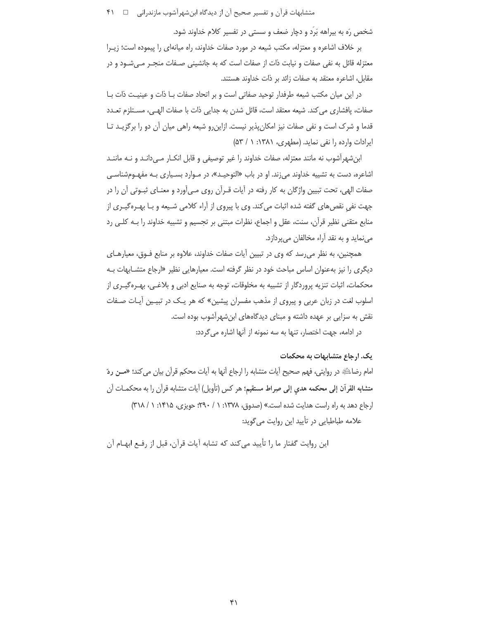شخص رَه به بیراهه بَرَد و دچار ضعف و سستی در تفسیر کلام خداوند شود.

بر خلاف اشاعره و معتزله، مكتب شيعه در مورد صفات خداوند، راه ميانهاي را پيموده است؛ زيـرا معتزله قائل به نفي صفات و نيابت ذات از صفات است كه به جانشيني صـفات منجـر مـي شـود و در مقابل، اشاعره معتقد به صفات زائد بر ذات خداوند هستند.

در این میان مکتب شیعه طرفدار توحید صفاتی است و بر اتحاد صفات بـا ذات و عینیـت ذات بـا صفات، پافشاری می کند. شیعه معتقد است، قائل شدن به جدایی ذات با صفات الهـی، مسـتلزم تعـدد قدما و شرک است و نفی صفات نیز امکان پذیر نیست. ازاین٫رو شیعه راهی میان آن دو را برگزیـد تـا ایرادات وارده را نفی نماید. (مطهری، ۱۳۸۱: ۱ / ۵۳)

ابن شهرآشوب نه مانند معتزله، صفات خداوند را غیر توصیفی و قابل انکـار مـیدانـد و نـه ماننـد اشاعره، دست به تشییه خداوند می;ند. او در باب «التوحیـد»، در مـوارد بسـیاری بـه مفهـومشناسـی صفات الهي، تحت تبيين واژگان به كار رفته در آيات قـرآن روي مـي|َورد و معنـاي ثبـوتي آن را در جهت نفی نقصهای گفته شده اثبات می کند. وی با پیروی از آراء کلامی شـیعه و بـا بهـرهگیـری از منابع متقنی نظیر قرآن، سنت، عقل و اجماع، نظرات مبتنی بر تجسیم و تشبیه خداوند را بـه کلـی رد مے نماید و به نقد آراء مخالفان مے یردازد.

همچنین، به نظر می رسد که وی در تبیین آیات صفات خداوند، علاوه بر منابع فـوق، معیارهـای دیگری را نیز بهعنوان اساس مباحث خود در نظر گرفته است. معیارهایی نظیر «ارجاع متشـابهات بـه محکمات، اثبات تنزیه پروردگار از تشبیه به مخلوقات، توجه به صنایع ادبی و بلاغـی، بهـرهگیـری از اسلوب لغت در زبان عربی و پیروی از مذهب مفسران پیشین» که هر یـک در تبیـین آیـات صـفات نقش به سزایی بر عهده داشته و مبنای دیدگاههای ابن شهرآشوب بوده است.

در ادامه، جهت اختصار، تنها به سه نمونه از آنها اشاره می گردد:

#### یک. ارجاع متشابهات به محکمات

امام رضاءليَّةِ در روايتي، فهم صحيح أيات متشابه را ارجاع أنها به أيات محكم قرآن بيان مي كند؛ «مــن ردّ متشابه القرآن إلى محكمه هدى إلى صراط مستقيم؛ هر كس (تأويل) آيات متشابه قرآن را به محكمـات آن ارجاع دهد به راه راست هدایت شده است.» (صدوق، ۱۳۷۸: ۱ / ۲۹۰: حویزی، ۱۴۱۵: ۱ / ۳۱۸) علامه طباطبایی در تأیید این روایت می گوید:

این روایت گفتار ما را تأیید می کند که تشابه آیات قرآن، قبل از رفـع ابهـام آن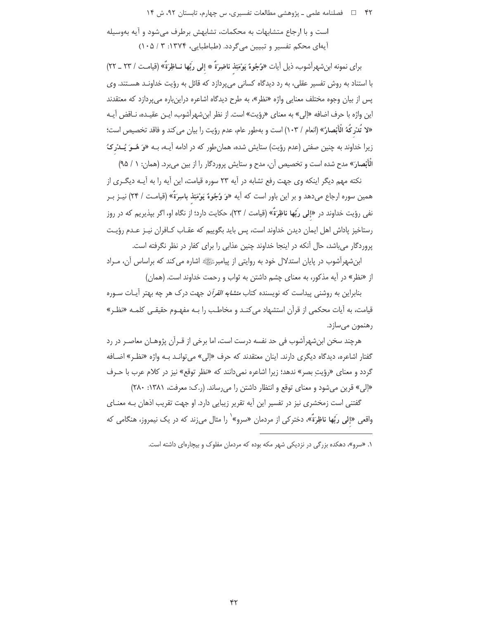است و با ارجاع متشابهات به محکمات، تشابهش برطرف می شود و آیه بهوسیله آيهاي محكم تفسير و تبيين مي گردد. (طباطبايي، ١٣٧۴: ٣ / ١٠۵)

براي نمونه ابنشهراًشوب، ذيل أيات «وُجُوهٌ يَوْمَئِذ ناضِرَةٌ ۞ إلى ربِّها نــاظِرَةٌ» (قيامـت / ٢٣ \_ ٢٢) با استناد به روش تفسیر عقلی، به رد دیدگاه کسانی میپردازد که قائل به رؤیت خداونـد هسـتند. وی پس از بیان وجوه مختلف معنایی واژه «نظر»، به طرح دیدگاه اشاعره دراینباره میپردازد که معتقدند اين واژه با حرف اضافه «إلى» به معناي «رؤيت» است. از نظر ابنِ شهرآشوب، ايـن عقيـده، نـاقض آيـه «لا تُدْرِكُهُ الْأَبْصارُ» (انعام / ١٠٣) است و بهطور عام، عدم رؤيت را بيان مي كند و فاقد تخصيص است؛ زیرا خداوند به چنین صفتی (عدم رؤیت) ستایش شده، همان طور که در ادامه آیـه، بـه «وَ هُــوَ يُــدْرِ کُ الْأَبْصارَ» مدح شده است و تخصیص آن، مدح و ستایش پروردگار را از بین می برد. (همان: ۱ / ۹۵)

نکته مهم دیگر اینکه وی جهت رفع تشابه در آیه ۲۳ سوره قیامت، این آیه را به آیـه دیگـری از همین سوره ارجاع میدهد و بر این باور است که آیه «وَ وُجُوهٌ یَوْمَئِذ باسِرَةٌ» (قیامت / ۲۴) نیـز بـر نفي رؤيت خداوند در «إلى ربِّها ناظِرَةٌ» (قيامت / ٢٣)، حكايت دارد؛ از نگاه او، اگر بيذيريم كه در روز رستاخیز پاداش اهل ایمان دیدن خداوند است، پس باید بگوییم که عقـاب کـافران نیـز عـدم رؤیـت یروردگار می باشد، حال آنکه در اینجا خداوند چنین عذابی را برای کفار در نظر نگرفته است.

ابنشهرآشوب در پایان استدلال خود به روایتی از پیامبرﷺ اشاره می کند که براساس آن، مـراد از «نظر» در آیه مذکور، به معنای چشم داشتن به ثواب و رحمت خداوند است. (همان)

بنابراین به روشنی پیداست که نویسنده کتاب *متشابه القرآن* جهت درک هر چه بهتر آیـات سـوره قیامت، به آیات محکمی از قرآن استشهاد می کنـد و مخاطـب را بـه مفهـوم حقیقـی کلمـه «نظـر» رهنمون میسازد.

هرچند سخن ابنشهرآشوب فی حد نفسه درست است، اما برخی از قـرآن پژوهـان معاصـر در رد گفتار اشاعره، دیدگاه دیگری دارند. اینان معتقدند که حرف «إلی» میتوانـد بـه واژه «نظـر» اضـافه گردد و معنای «رؤیت بصر» ندهد؛ زیرا اشاعره نمی دانند که «نظر توقع» نیز در کلام عرب با حـرف «إلى» قرين مى شود و معناى توقع و انتظار داشتن را مى رساند. (ر.ك: معرفت، ١٣٨١: ٢٨٠)

گفتنی است زمخشری نیز در تفسیر این آیه تقریر زیبایی دارد. او جهت تقریب اذهان بـه معنـای واقعی «إلی ربِّها ناظِرَةٌ»، دخترکی از مردمان «سرو»<sup>\</sup> را مثال می;ند که در یک نیمروز، هنگامی که

۱. «سرو»، دهکده بزرگی در نزدیکی شهر مکه بوده که مردمان مفلوک و بیچارهای داشته است.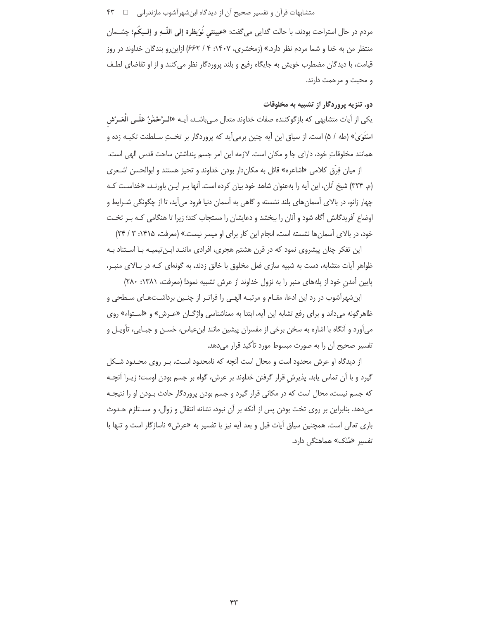مردم در حال استراحت بودند، با حالت گدایی میگفت: «عیینتی نُوَیظرة إلی اللّــهِ و إلــیکُم؛ چشــمان منتظر من به خدا و شما مردم نظر دارد.» (زمخشری، ۱۴۰۷: ۴ / ۶۶۲) ازاین رو بندگان خداوند در روز قیامت، با دیدگان مضطرب خویش به جایگاه رفیع و بلند پروردگار نظر می کنند و از او تقاضای لطـف و محبت و مرحمت دارند.

# دو. تنزیه پروردگار از تشبیه به مخلوقات

یکی از أیات متشابهی که بازگوکننده صفات خداوند متعال مـیباشـد، أیــه «الـرَّحْمَٰنُ عَلَــی العَــرْش اسْتَوَىٰ» (طه / ۵) است. از سیاق این آیه چنین برمی[ید که پروردگار بر تختِ سـلطنت تکیــه زده و همانند مخلوقات خود، دارای جا و مکان است. لازمه این امر جسم پنداشتن ساحت قدس الهی است.

از میان فِرَق کلامی «اشاعره» قائل به مکاندار بودن خداوند و تحیز هستند و ابوالحسن اشـعری (م. ٣٢۴) شیخ آنان، این آیه را بهعنوان شاهد خود بیان کرده است. آنها بـر ایـن باورنـد، «خداسـت کـه چهار زانو، در بالای آسمانهای بلند نشسته و گاهی به آسمان دنیا فرود میآید، تا از چگونگی شـرایط و اوضاع آفریدگانش آگاه شود و آنان را ببخشد و دعایشان را مستجاب کند؛ زیرا تا هنگامی کـه بـر تخـت خود، در بالای آسمان ها نشسته است، انجام این کار برای او میسر نیست.» (معرفت، ۱۴۱۵: ۳ / ۲۴)

این تفکر چنان پیشروی نمود که در قرن هشتم هجری، افرادی ماننـد ابـن تیمیـه بـا اسـتناد بـه ظواهر اًيات متشابه، دست به شبيه سازي فعل مخلوق با خالق زدند، به گونهاي كـه در بـالاي منبـر، پایین آمدن خود از پلههای منبر را به نزول خداوند از عرش تشبیه نمود! (معرفت، ۱۳۸۱: ۲۸۰)

ابن شهرآشوب در رد این ادعا، مقـام و مرتبـه الهـی را فراتـر از چنـین برداشـتهـای سـطحی و ظاهرگونه میداند و برای رفع تشابه این آیه، ابتدا به معناشناسی واژگـان «عـرش» و «اسـتواء» روی میآورد و آنگاه با اشاره به سخن برخی از مفسران پیشین مانند ابنءباس، حَســن و جبــایی، تأویــل و تفسیر صحیح آن را به صورت مبسوط مورد تأکید قرار می دهد.

از دیدگاه او عرش محدود است و محال است آنچه که نامحدود است، بـر روی محـدود شـکل گیرد و با آن تماس یابد. پذیرش قرار گرفتن خداوند بر عرش، گواه بر جسم بودن اوست؛ زیــرا آنچــه که جسم نیست، محال است که در مکانی قرار گیرد و جسم بودن پروردگار حادث بـودن او را نتیجـه می دهد. بنابراین بر روی تخت بودن پس از آنکه بر آن نبود، نشانه انتقال و زوال، و مسـتلزم حـدوث باری تعالی است. همچنین سیاق آیات قبل و بعد آیه نیز با تفسیر به «عرش» ناسازگار است و تنها با تفسیر «مُلک» هماهنگی دارد.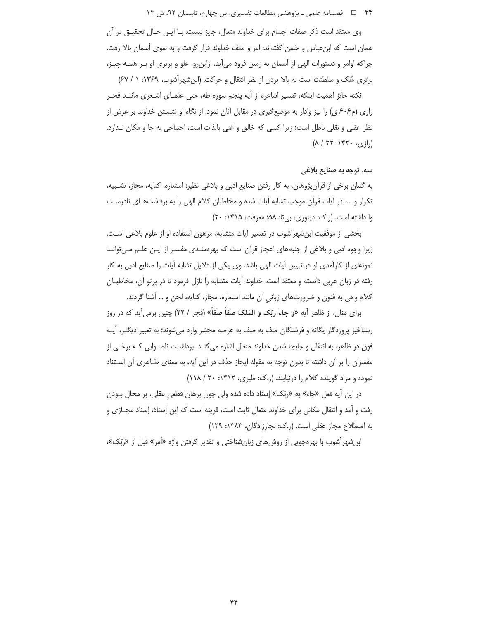وی معتقد است ذکر صفات اجسام برای خداوند متعال، جایز نیست. بـا ایــن حـال تحقیــق در آن همان است که ابنءباس و حَسن گفتهاند: امر و لطف خداوند قرار گرفت و به سوی آسمان بالا رفت. چراکه اوامر و دستورات الهی از آسمان به زمین فرود میآید. ازاین٫رو، علو و برتری او بـر همـه چیـز، برتری مُلک و سلطنت است نه بالا بردن از نظر انتقال و حرکت. (ابن شهرآشوب، ۱۳۶۹: ۱ / ۶۷)

نكته حائز اهميت اينكه، تفسير اشاعره از آيه پنجم سوره طه، حتى علمـاى اشـعرى ماننـد فخـر رازی (م۶۰۶ ق) را نیز وادار به موضع گیری در مقابل آنان نمود. از نگاه او نشستن خداوند بر عرش از نظر عقلي و نقلي باطل است؛ زيرا كسي كه خالق و غني بالذات است، احتياجي به جا و مكان نـدارد.  $(\lambda / \tau\tau : \Upsilon\tau \cdot \Omega_{\zeta}; I_{\lambda})$ 

# سه. توجه به صنایع بلاغی

به گمان برخی از قرآن¢وهان، به کار رفتن صنایع ادبی و بلاغی نظیر: استعاره، کنایه، مجاز، تشـبیه، تکرار و …، در آیات قرآن موجب تشابه آیات شده و مخاطبان کلام الهی را به برداشتهای نادرست وا داشته است. (ر.ک: دینوری، بیتا: ۵۸؛ معرفت، ۱۴۱۵: ۲۰)

بخشی از موفقیت ابن شهرآشوب در تفسیر آیات متشابه، مرهون استفاده او از علوم بلاغی است. زیرا وجوه ادبی و بلاغی از جنبههای اعجاز قرآن است که بهرهمنـدی مفسـر از ایـن علـم مـی¤وانـد نمونهای از کارآمدی او در تبیین آیات الهی باشد. وی یکی از دلایل تشابه آیات را صنایع ادبی به کار رفته در زبان عربی دانسته و معتقد است، خداوند آیات متشابه را نازل فرمود تا در پرتو آن، مخاطبـان كلام وحي به فنون و ضرورتهاي زباني آن مانند استعاره، مجاز، كنايه، لحن و … آشنا گردند.

برای مثال، از ظاهر أيه «و جاءَ ربِّک و المَلکُ صَفَاً صَفَاً» (فجر / ٢٢) چنين برمي[يد که در روز رستاخیز پروردگار یگانه و فرشتگان صف به صف به عرصه محشر وارد می شوند؛ به تعبیر دیگـر، آیـه فوق در ظاهر، به انتقال و جابجا شدن خداوند متعال اشاره می کنــد. برداشــت ناصــوابی کــه برخــی از مفسران را بر آن داشته تا بدون توجه به مقوله ایجاز حذف در این آیه، به معنای ظـاهری آن اسـتناد نموده و مراد گوینده کلام را درنیابند. (ر.ک: طبری، ١۴١٢: ٣٠ / ١١٨)

در این آیه فعل «جاءَ» به «ربّک» إسناد داده شده ولی چون برهان قطعی عقلی، بر محال بـودن رفت و آمد و انتقال مکانی برای خداوند متعال ثابت است، قرینه است که این إسناد، إسناد مجـازی و به اصطلاح مجاز عقلی است. (. ک: نجارزادگان، ۱۳۸۳: ۱۳۹)

ابن شهرآشوب با بهرهجویی از روش های زبان شناختی و تقدیر گرفتن واژه «أمر» قبل از «رَبّک»،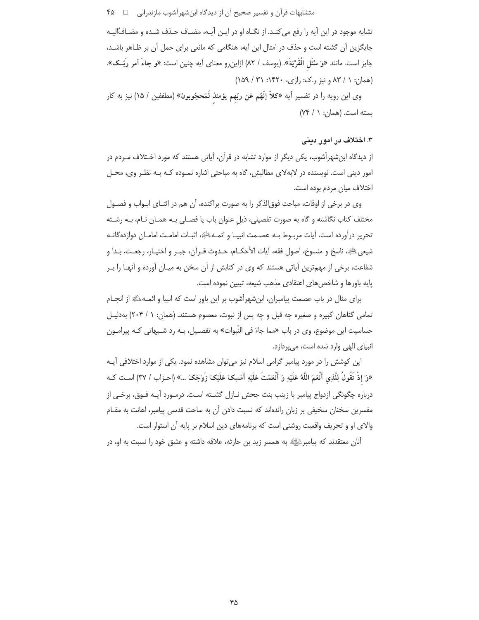تشابه موجود در این آیه را رفع می کنـد. از نگـاه او در ایـن آیـه، مضـاف حـذف شـده و مضـافـُالیـه جایگزین آن گشته است و حذف در امثال این آیه، هنگامی که مانعی برای حمل آن بر ظـاهر باشـد، جايز است. مانند «وَ سْئَل الْقَرْيَةَ». (يوسف / ٨٢) ازاين٫رو معناي آيه چنين است: «و جاءَ أمر رَبِّــك». (همان: ١ / ٨٣ و نيز , ک: , ازي، ١۴٢٠: ١٥١ / ١۵٩)

وى اين رويه را در تفسير أيه «كلاّ إنّهُم عَن ربّهم يؤمئذ لَمَحجُوبونٌ» (مطففين / ١۵) نيز به كار  $(Yf \mid Y; \cdot)$ بسته است. (همان: ١

#### ۳. اختلاف در امور دینی

از دیدگاه ابن شهرآشوب، یکی دیگر از موارد تشابه در قرآن، آیاتی هستند که مورد اخـتلاف مـردم در امور دینی است. نویسنده در لابهلای مطالبش، گاه به مباحثی اشاره نمـوده کـه بـه نظـر وی، محـل اختلاف ميان مردم بوده است.

وی در برخی از اوقات، مباحث فوق|لذکر را به صورت پراکنده، آن هم در اثنـای ابـواب و فصـول مختلف کتاب نگاشته و گاه به صورت تفصیلی، ذیل عنوان باب یا فصـلی بـه همـان نـام، بـه رشـته تحرير درآورده است. آيات مربــوط بــه عصــمت انبيــا و ائمــهائِهِ، اثبــات امامــت امامــان دوازدهگانــه شيعيﷺ، ناسخ و منسوخ، اصول فقه، آيات الأحكــام، حــدوث قــرآن، جبــر و اختيــار، رجعــت، بــدا و شفاعت، برخی از مهمترین آیاتی هستند که وی در کتابش از آن سخن به میـان آورده و آنهـا را بـر پایه باورها و شاخصهای اعتقادی مذهب شیعه، تبیین نموده است.

برای مثال در باب عصمت پیامبران، ابنشهرآشوب بر این باور است که انبیا و ائمـه ﷺ از انجـام تمامی گناهان کبیره و صغیره چه قبل و چه پس از نبوت، معصوم هستند. (همان: ١ / ۲۰۴) بهدلیـل حساسیت این موضوع، وی در باب «مما جاءَ فی النّبوات» به تفصـیل، بـه رد شـبهاتی کـه پیرامـون انبیای الهی وارد شده است، می پردازد.

این کوشش را در مورد پیامبر گرامی اسلام نیز میتوان مشاهده نمود. یکی از موارد اختلافی آیـه «وَ إِذْ تَقُولُ لِلَّذِى أَنْعَمَ اللَّهُ عَلَيْهِ وَ أَنْعَمْتَ عَلَيْهِ أَمْسِكْ عَلَيْكَ زَوْجَكَ ...» (احـزاب / ٣٧) اسـت كــه درباره چگونگی ازدواج پیامبر با زینب بنت جحش نـازل گشـته اسـت. درمـورد آیـه فـوق، برخـی از مفسرین سخنان سخیفی بر زبان راندهاند که نسبت دادن آن به ساحت قدسی پیامبر، اهانت به مقـام والای او و تحریف واقعیت روشنی است که برنامههای دین اسلام بر پایه آن استوار است.

آنان معتقدند که پیامبرﷺ به همسر زید بن حارثه، علاقه داشته و عشق خود را نسبت به او، در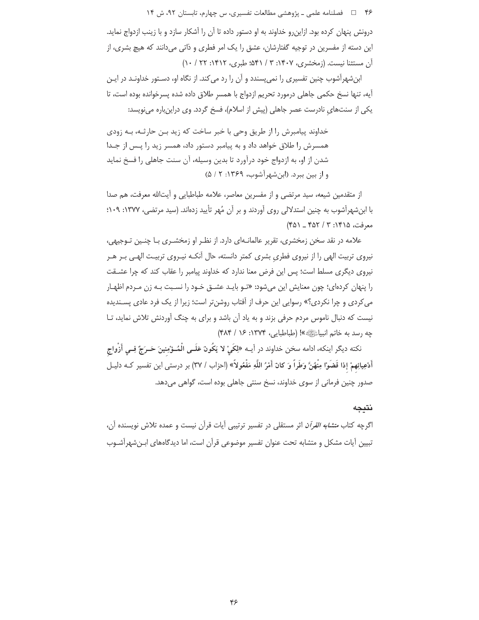درونش پنهان کرده بود. ازاین رو خداوند به او دستور داده تا آن را آشکار سازد و با زینب ازدواج نماید. این دسته از مفسرین در توجیه گفتارشان، عشق را یک امر فطری و ذاتی میدانند که هیچ بشری، از آن مستثنا نیست. (زمخشری، ۱۴۰۷: ۳ / ۵۴۱: طبری، ۱۴۱۲: ۲۲ / ۱۰)

ابنشهرآشوب چنین تفسیری را نمی پسندد و آن را رد می کند. از نگاه او، دسـتور خداونـد در ایـن آيه، تنها نسخ حكمي جاهلي درمورد تحريم ازدواج با همسر طلاق داده شده پسرخوانده بوده است، تا یکی از سنتهای نادرست عصر جاهلی (پیش از اسلام)، فسخ گردد. وی دراین باره می نویسد:

خداوند پیامبرش را از طریق وحی با خبر ساخت که زید بـن حارثـه، بـه زودی همسرش را طلاق خواهد داد و به پیامبر دستور داد، همسر زید را پـس از جـدا شدن از او، به ازدواج خود درآورد تا بدین وسیله، آن سنت جاهلی را فسخ نماید و از بین ببرد. (ابن شهرآشوب، ۱۳۶۹: ۵ / ۵)

از متقدمین شیعه، سید مرتضی و از مفسرین معاصر، علامه طباطبایی و آیتالله معرفت، هم صدا با ابنِ ههراًشوب به چنین استدلالی روی اّوردند و بر اّن مُهر تأیید زدهاند. (سید مرتضی، ۱۳۷۷: ۱۰۹؛  $(50 - 507 / 7 : 1510)$ معرفت، ۱۴۵۵

علامه در نقد سخن زمخشری، تقریر عالمانـهای دارد. از نظـر او زمخشــری بــا چنــین تــوجیهی، نیروی تربیت الهی را از نیروی فطری بشری کمتر دانسته، حال آنکـه نیـروی تربیـت الهـی بـر هـر نیروی دیگری مسلط است؛ پس این فرض معنا ندارد که خداوند پیامبر را عقاب کند که چرا عشـقت را پنهان کردهای؛ چون معنایش این میشود: «تـو بایـد عشـق خـود را نسـبت بـه زن مـردم اظهـار می کردی و چرا نکردی؟» رسوایی این حرف از آفتاب روشنتر است؛ زیرا از یک فرد عادی پسـندیده نیست که دنبال ناموس مردم حرفی بزند و به یاد آن باشد و برای به چنگ آوردنش تلاش نماید، تـا جه رسد به خاتم انبياءً!!!!» »! (طباطبايي، ١٣٧٤: ١۶ / ۴٨۴)

نكته ديگر اينكه، ادامه سخن خداوند در أيــه «لِكَيْ لا يَكُونَ عَلَــى الْمُــؤْمِنينَ حَــرَجٌ فِــى أَزْواج أَدْعِيائِهِمْ إذا قَضَوْا مِنْهُنَّ وَطَراً وَ كانَ أَمْرُ اللَّهِ مَفْعُولاً» (احزاب / ٣٧) بر درستى اين تفسير كـه دليـل صدور چنین فرمانی از سوی خداوند، نسخ سنتی جاهلی بوده است، گواهی میدهد.

#### نتيجه

اگرچه کتاب *متشابه القرآن* اثر مستقلی در تفسیر ترتیبی آیات قرآن نیست و عمده تلاش نویسنده آن، تبیین آیات مشکل و متشابه تحت عنوان تفسیر موضوعی قرآن است، اما دیدگاههای ابـنشهرآشـوب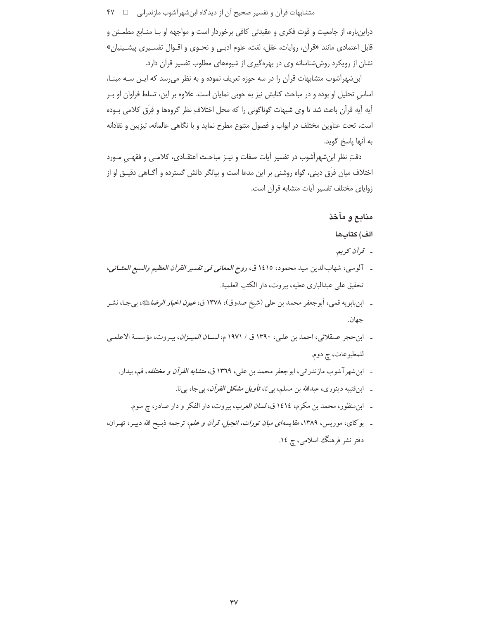دراینباره، از جامعیت و قوت فکری و عقیدتی کافی برخوردار است و مواجهه او بـا منـابع مطمـئن و قابل اعتمادي مانند «قرآن، روايات، عقل، لغت، علوم ادبـي و نحـوى و اقـوال تفسـيري پيشـينيان» نشان از رویکرد روش شناسانه وی در بهرهگیری از شیوههای مطلوب تفسیر قرآن دارد.

ابن شهرآشوب متشابهات قرآن را در سه حوزه تعریف نموده و به نظر می رسد که ایـن سـه مبنـا، اساس تحلیل او بوده و در مباحث کتابش نیز به خوبی نمایان است. علاوه بر این، تسلط فراوان او بـر آيه آيه قرآن باعث شد تا وي شبهات گوناگوني را كه محل اختلاف نظر گروهها و فِرِّق كلامي بـوده است، تحت عناوين مختلف در ابواب و فصول متنوع مطرح نمايد و با نگاهي عالمانه، تيزبين و نقادانه به أنها ياسخ گويد.

دقتِ نظر ابنِ شهرآشوب در تفسير آيات صفات و نيـز مباحـث اعتقـادي، كلامـي و فقهـي مـورد اختلاف میان فرِّق دینی، گواه روشنی بر این مدعا است و بیانگر دانش گسترده و آگـاهی دقیـق او از زواياى مختلف تفسير آيات متشابه قرآن است.

## منابع و مآخذ

الف) كتابها

- قرآن كريم.
- ـ آلوسي، شهابالدين سيد محمود، ١٤١٥ ق، ر*وح المعاني في تفسير القرآن العظيم والسبع المثــاني*، تحقيق على عبدالباري عطيه، بيروت، دار الكتب العلمية.
- ـ ابن بابويه قمي، أبوجعفر محمد بن علي (شيخ صدوق)، ١٣٧٨ ق، *عيون اخبار الرضا* ﷺ، بيجـا، نشـر جهان.
- ـ ابن حجر عسقلاني، احمد بن علي، ١٣٩٠ ق / ١٩٧١ م، *لســان الميــزان*، بيـروت، مؤسسـة الاعلمـى للمطبوعات، چ دوم.
	- ـ ابن شهر آشوب مازندرانی، ابوجعفر محمد بن علی، ۱۳٦۹ ق، *متشابه القرآن و مختلفه*، قم، بیدار.
		- ـ ابن قتیبه دینوری، عبدالله بن مسلم، بی تا، *تأویل مشکل القرآن*، ب<u>ی</u> جا، بی نا.
		- ۔ ابن منظور، محمد بن مکرم، ١٤١٤ ق، *لسان العرب*، بیروت، دار الفکر و دار صادر، ج سوم.
- ـ بوکای، موریس، ۱۳۸۹، *مقایسهای میان تورات، انجیل، قرآن و علم*، ترجمه ذبـیح الله دبیـر، تهـران، دفتر نشر فرهنگ اسلامی، چ ١٤.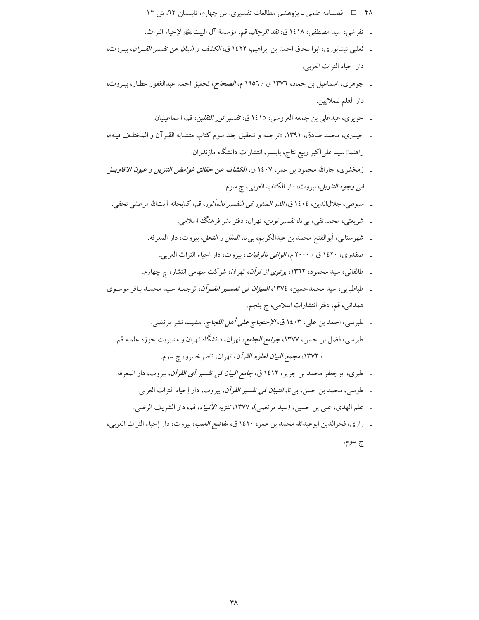- ۴۸ = 1 فصلنامه علمی ـ پژوهشی مطالعات تفسیری، س چهارم، تابستان ۹۲، ش ۱۴
- ـ تفرشي، سيد مصطفى، ١٤١٨ ق، *نقد الرجال*، قم، مؤسسة آل البيت ﷺ لإحياء التراث.
- ـ ثعلبي نيشابوري، ابواسحاق احمد بن ابراهيم، ١٤٢٢ ق، *الكشف و البيان عن تفسير القــرآن*، بيـروت، دار احياء التراث العربي.
- ـ جوهري، اسماعيل بن حماد، ١٣٧٦ ق / ١٩٥٦ م، *الصحاح*، تحقيق احمد عبدالغفور عطـار، بيـروت، دار العلم للملايين.
	- ـ حويزى، عبدعلى بن جمعه العروسي، ١٤١٥ ق، تفسير *نور الثقلين*، قم، اسماعيليان.
- ـ حيدري، محمد صادق، ١٣٩١، «ترجمه و تحقيق جلد سوم كتاب متشـابه القـرآن و الممختلـف فيـه»، راهنما: سید علیاکبر ربیع نتاج، بابلسر، انتشارات دانشگاه مازندران.
- \_ زمخشري، جارالله محمود بن عمر ، ١٤٠٧ ق، *الكشاف عن حقائق غوامض التنزيل و عيون الاقاويـل* ق*بی وجوه التاویل*، بیروت، دار الکتاب العربی، چ سوم.
- ـ سيوطى، جلالالدين، ١٤٠٤ق، *الدر المنثور في التفسير بالمأثور*، قم، كتابخانه آيتالله مرعشى نجفى.
	- ـ شریعتی، محمدتقی، بیتا، *تفسیر نوین*، تهران، دفتر نشر فرهنگ اسلامی.
	- ـ شهرستاني، أبوالفتح محمد بن عبدالكريم، بي¤، *الملل و النحل*، بيروت، دار المعرفه.
		- \_ صفدري، ١٤٢٠ ق / ٢٠٠٠م، *الوافي بالوفيات*، بيروت، دار احياء التراث العربي.
	- ۔ طالقانی، سید محمود، ۱۳٦۲، *پرتوی از قرآن*، تھران، شرکت سھامی انتشار، ج چھارم.
- ـ طباطبايي، سيد محمدحسين، ١٣٧٤، *الميزان في تفسـير القـرآن*، ترجمـه سـيد محمـد بـاقر موسـوى همداني، قم، دفتر انتشارات اسلامي، چ پنجم.
	- ـ طبرسي، احمد بن علي، ١٤٠٣ ق، *الإحتجاج على أهل اللجاج*، مشهد، نشر مرتضي.
	- ـ طبرسی، فضل بن حسن، ۱۳۷۷، *جوامع الجامع*، تهران، دانشگاه تهران و مدیریت حوزه علمیه قم.
		-
	- ـ طبري، ابوجعفر محمد بن جرير، ١٤١٢ ق، *جامع البيان في تفسير أي القرآن*، بيروت، دار المعرفه.
		- ـ طوسي، محمد بن حسن، بي تا، *التبيان في تفسير القرآن*، بيروت، دار إحياء التراث العربي.
		- \_ علم الهدي، علي بن حسين، (سيد مرتضي)، ١٣٧٧، تنزيه *الأنبياء*، قم، دار الشريف الرضي.
- ـ رازي، فخرالدين ابوعبدالله محمد بن عمر، ١٤٢٠ ق، *مفاتيح الغيب*، بيروت، دار إحياء التراث العربي، چ سوم.